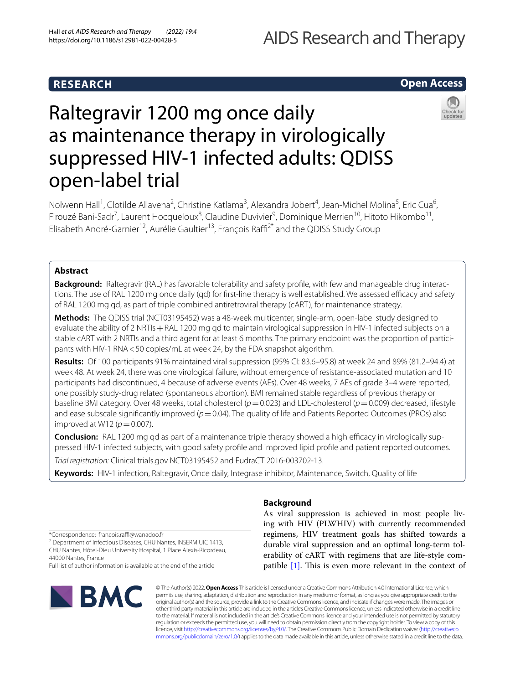# **RESEARCH**

# AIDS Research and Therapy

# **Open Access**



# Raltegravir 1200 mg once daily as maintenance therapy in virologically suppressed HIV-1 infected adults: QDISS open-label trial

Nolwenn Hall<sup>1</sup>, Clotilde Allavena<sup>2</sup>, Christine Katlama<sup>3</sup>, Alexandra Jobert<sup>4</sup>, Jean-Michel Molina<sup>5</sup>, Eric Cua<sup>6</sup>, Firouzé Bani-Sadr<sup>7</sup>, Laurent Hocqueloux<sup>8</sup>, Claudine Duvivier<sup>9</sup>, Dominique Merrien<sup>10</sup>, Hitoto Hikombo<sup>11</sup>, Elisabeth André-Garnier<sup>12</sup>, Aurélie Gaultier<sup>13</sup>, François Raffi<sup>2\*</sup> and the QDISS Study Group

# **Abstract**

**Background:** Raltegravir (RAL) has favorable tolerability and safety profile, with few and manageable drug interactions. The use of RAL 1200 mg once daily (qd) for first-line therapy is well established. We assessed efficacy and safety of RAL 1200 mg qd, as part of triple combined antiretroviral therapy (cART), for maintenance strategy.

**Methods:** The QDISS trial (NCT03195452) was a 48-week multicenter, single-arm, open-label study designed to evaluate the ability of 2 NRTIs + RAL 1200 mg qd to maintain virological suppression in HIV-1 infected subjects on a stable cART with 2 NRTIs and a third agent for at least 6 months. The primary endpoint was the proportion of participants with HIV-1 RNA<50 copies/mL at week 24, by the FDA snapshot algorithm.

**Results:** Of 100 participants 91% maintained viral suppression (95% CI: 83.6–95.8) at week 24 and 89% (81.2–94.4) at week 48. At week 24, there was one virological failure, without emergence of resistance-associated mutation and 10 participants had discontinued, 4 because of adverse events (AEs). Over 48 weeks, 7 AEs of grade 3–4 were reported, one possibly study-drug related (spontaneous abortion). BMI remained stable regardless of previous therapy or baseline BMI category. Over 48 weeks, total cholesterol (*p*=0.023) and LDL-cholesterol (*p*=0.009) decreased, lifestyle and ease subscale significantly improved  $(p=0.04)$ . The quality of life and Patients Reported Outcomes (PROs) also improved at W12 ( $p$  = 0.007).

**Conclusion:** RAL 1200 mg qd as part of a maintenance triple therapy showed a high efficacy in virologically suppressed HIV-1 infected subjects, with good safety profle and improved lipid profle and patient reported outcomes.

*Trial registration:* Clinical trials.gov NCT03195452 and EudraCT 2016-003702-13.

**Keywords:** HIV-1 infection, Raltegravir, Once daily, Integrase inhibitor, Maintenance, Switch, Quality of life

\*Correspondence: francois.raf@wanadoo.fr

<sup>2</sup> Department of Infectious Diseases, CHU Nantes, INSERM UIC 1413, CHU Nantes, Hôtel-Dieu University Hospital, 1 Place Alexis‑Ricordeau, 44000 Nantes, France

Full list of author information is available at the end of the article



# **Background**

As viral suppression is achieved in most people living with HIV (PLWHIV) with currently recommended regimens, HIV treatment goals has shifted towards a durable viral suppression and an optimal long-term tolerability of cART with regimens that are life-style compatible  $[1]$ . This is even more relevant in the context of

© The Author(s) 2022. **Open Access** This article is licensed under a Creative Commons Attribution 4.0 International License, which permits use, sharing, adaptation, distribution and reproduction in any medium or format, as long as you give appropriate credit to the original author(s) and the source, provide a link to the Creative Commons licence, and indicate if changes were made. The images or other third party material in this article are included in the article's Creative Commons licence, unless indicated otherwise in a credit line to the material. If material is not included in the article's Creative Commons licence and your intended use is not permitted by statutory regulation or exceeds the permitted use, you will need to obtain permission directly from the copyright holder. To view a copy of this licence, visit [http://creativecommons.org/licenses/by/4.0/.](http://creativecommons.org/licenses/by/4.0/) The Creative Commons Public Domain Dedication waiver ([http://creativeco](http://creativecommons.org/publicdomain/zero/1.0/) [mmons.org/publicdomain/zero/1.0/](http://creativecommons.org/publicdomain/zero/1.0/)) applies to the data made available in this article, unless otherwise stated in a credit line to the data.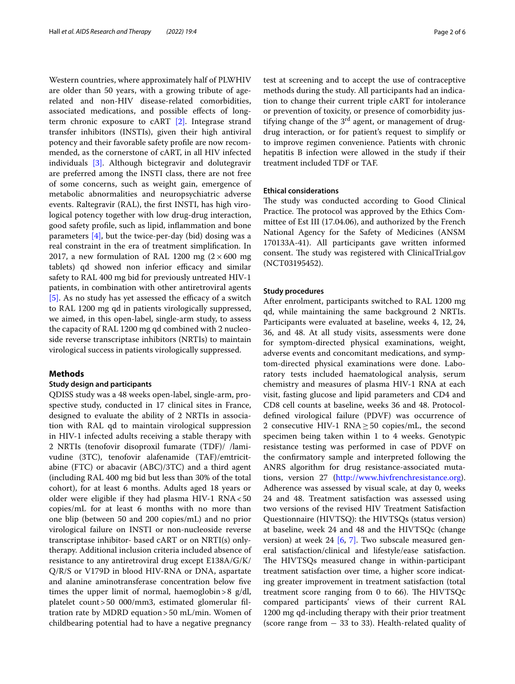Western countries, where approximately half of PLWHIV are older than 50 years, with a growing tribute of agerelated and non-HIV disease-related comorbidities, associated medications, and possible efects of longterm chronic exposure to cART [\[2\]](#page-5-1). Integrase strand transfer inhibitors (INSTIs), given their high antiviral potency and their favorable safety profle are now recommended, as the cornerstone of cART, in all HIV infected individuals [\[3\]](#page-5-2). Although bictegravir and dolutegravir are preferred among the INSTI class, there are not free of some concerns, such as weight gain, emergence of metabolic abnormalities and neuropsychiatric adverse events. Raltegravir (RAL), the frst INSTI, has high virological potency together with low drug-drug interaction, good safety profle, such as lipid, infammation and bone parameters  $[4]$ , but the twice-per-day (bid) dosing was a real constraint in the era of treatment simplifcation. In 2017, a new formulation of RAL 1200 mg  $(2 \times 600 \text{ mg})$ tablets) qd showed non inferior efficacy and similar safety to RAL 400 mg bid for previously untreated HIV-1 patients, in combination with other antiretroviral agents  $[5]$ . As no study has yet assessed the efficacy of a switch to RAL 1200 mg qd in patients virologically suppressed, we aimed, in this open-label, single-arm study, to assess the capacity of RAL 1200 mg qd combined with 2 nucleoside reverse transcriptase inhibitors (NRTIs) to maintain virological success in patients virologically suppressed.

# **Methods**

#### **Study design and participants**

QDISS study was a 48 weeks open-label, single-arm, prospective study, conducted in 17 clinical sites in France, designed to evaluate the ability of 2 NRTIs in association with RAL qd to maintain virological suppression in HIV-1 infected adults receiving a stable therapy with 2 NRTIs (tenofovir disoproxil fumarate (TDF)/ /lamivudine (3TC), tenofovir alafenamide (TAF)/emtricitabine (FTC) or abacavir (ABC)/3TC) and a third agent (including RAL 400 mg bid but less than 30% of the total cohort), for at least 6 months. Adults aged 18 years or older were eligible if they had plasma HIV-1 RNA<50 copies/mL for at least 6 months with no more than one blip (between 50 and 200 copies/mL) and no prior virological failure on INSTI or non-nucleoside reverse transcriptase inhibitor- based cART or on NRTI(s) onlytherapy. Additional inclusion criteria included absence of resistance to any antiretroviral drug except E138A/G/K/ Q/R/S or V179D in blood HIV-RNA or DNA, aspartate and alanine aminotransferase concentration below fve times the upper limit of normal, haemoglobin > 8  $g/dl$ , platelet count>50 000/mm3, estimated glomerular fltration rate by MDRD equation>50 mL/min. Women of childbearing potential had to have a negative pregnancy test at screening and to accept the use of contraceptive methods during the study. All participants had an indication to change their current triple cART for intolerance or prevention of toxicity, or presence of comorbidity justifying change of the  $3<sup>rd</sup>$  agent, or management of drugdrug interaction, or for patient's request to simplify or to improve regimen convenience. Patients with chronic hepatitis B infection were allowed in the study if their treatment included TDF or TAF.

### **Ethical considerations**

The study was conducted according to Good Clinical Practice. The protocol was approved by the Ethics Committee of Est III (17.04.06), and authorized by the French National Agency for the Safety of Medicines (ANSM 170133A-41). All participants gave written informed consent. The study was registered with ClinicalTrial.gov (NCT03195452).

### **Study procedures**

After enrolment, participants switched to RAL 1200 mg qd, while maintaining the same background 2 NRTIs. Participants were evaluated at baseline, weeks 4, 12, 24, 36, and 48. At all study visits, assessments were done for symptom-directed physical examinations, weight, adverse events and concomitant medications, and symptom-directed physical examinations were done. Laboratory tests included haematological analysis, serum chemistry and measures of plasma HIV-1 RNA at each visit, fasting glucose and lipid parameters and CD4 and CD8 cell counts at baseline, weeks 36 and 48. Protocoldefned virological failure (PDVF) was occurrence of 2 consecutive HIV-1 RNA≥50 copies/mL, the second specimen being taken within 1 to 4 weeks. Genotypic resistance testing was performed in case of PDVF on the confrmatory sample and interpreted following the ANRS algorithm for drug resistance-associated mutations, version 27 [\(http://www.hivfrenchresistance.org](http://www.hivfrenchresistance.org)). Adherence was assessed by visual scale, at day 0, weeks 24 and 48. Treatment satisfaction was assessed using two versions of the revised HIV Treatment Satisfaction Questionnaire (HIVTSQ): the HIVTSQs (status version) at baseline, week 24 and 48 and the HIVTSQc (change version) at week 24  $[6, 7]$  $[6, 7]$ . Two subscale measured general satisfaction/clinical and lifestyle/ease satisfaction. The HIVTSQs measured change in within-participant treatment satisfaction over time, a higher score indicating greater improvement in treatment satisfaction (total treatment score ranging from 0 to  $66$ ). The HIVTSQc compared participants' views of their current RAL 1200 mg qd-including therapy with their prior treatment (score range from  $-$  33 to 33). Health-related quality of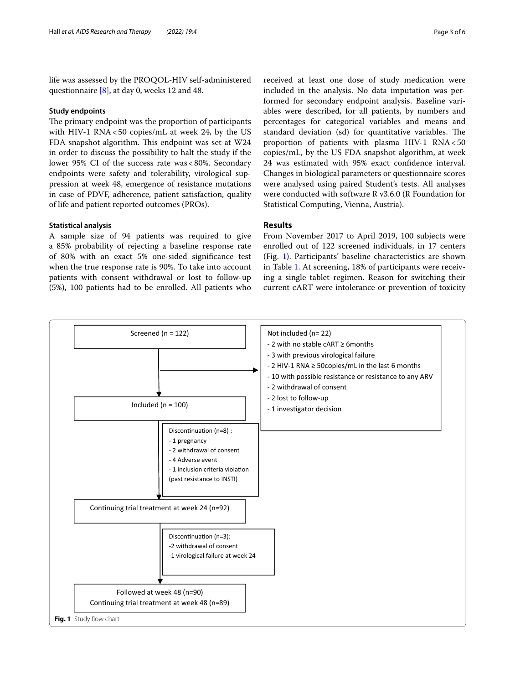life was assessed by the PROQOL-HIV self-administered questionnaire [\[8\]](#page-5-7), at day 0, weeks 12 and 48.

### **Study endpoints**

The primary endpoint was the proportion of participants with HIV-1 RNA<50 copies/mL at week 24, by the US FDA snapshot algorithm. This endpoint was set at W24 in order to discuss the possibility to halt the study if the lower 95% CI of the success rate was <80%. Secondary endpoints were safety and tolerability, virological suppression at week 48, emergence of resistance mutations in case of PDVF, adherence, patient satisfaction, quality of life and patient reported outcomes (PROs).

# **Statistical analysis**

A sample size of 94 patients was required to give a 85% probability of rejecting a baseline response rate of 80% with an exact 5% one-sided signifcance test when the true response rate is 90%. To take into account patients with consent withdrawal or lost to follow-up (5%), 100 patients had to be enrolled. All patients who received at least one dose of study medication were included in the analysis. No data imputation was performed for secondary endpoint analysis. Baseline variables were described, for all patients, by numbers and percentages for categorical variables and means and standard deviation (sd) for quantitative variables. The proportion of patients with plasma HIV-1 RNA<50 copies/mL, by the US FDA snapshot algorithm, at week 24 was estimated with 95% exact confdence interval. Changes in biological parameters or questionnaire scores were analysed using paired Student's tests. All analyses were conducted with software R v3.6.0 (R Foundation for Statistical Computing, Vienna, Austria).

# **Results**

From November 2017 to April 2019, 100 subjects were enrolled out of 122 screened individuals, in 17 centers (Fig. [1](#page-2-0)). Participants' baseline characteristics are shown in Table [1](#page-3-0). At screening, 18% of participants were receiving a single tablet regimen. Reason for switching their current cART were intolerance or prevention of toxicity

<span id="page-2-0"></span>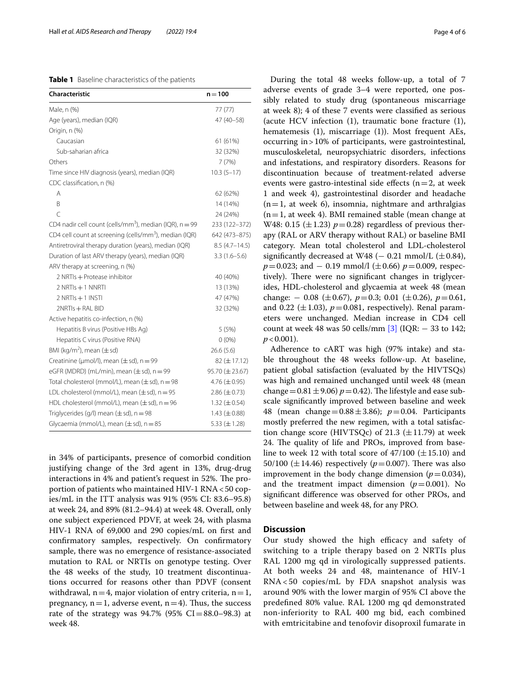### <span id="page-3-0"></span>**Table 1** Baseline characteristics of the patients

| Characteristic                                                        | $n = 100$           |
|-----------------------------------------------------------------------|---------------------|
| Male, n (%)                                                           | 77 (77)             |
| Age (years), median (IQR)                                             | 47 (40-58)          |
| Origin, n (%)                                                         |                     |
| Caucasian                                                             | 61 (61%)            |
| Sub-saharian africa                                                   | 32 (32%)            |
| Others                                                                | 7(7%)               |
| Time since HIV diagnosis (years), median (IQR)                        | $10.3(5-17)$        |
| CDC classification, n (%)                                             |                     |
| Α                                                                     | 62 (62%)            |
| B                                                                     | 14 (14%)            |
| $\overline{C}$                                                        | 24 (24%)            |
| CD4 nadir cell count (cells/mm <sup>3</sup> ), median (IQR), $n = 99$ | 233 (122-372)       |
| CD4 cell count at screening (cells/mm <sup>3</sup> ), median (IQR)    | 642 (473-875)       |
| Antiretroviral therapy duration (years), median (IQR)                 | $8.5(4.7-14.5)$     |
| Duration of last ARV therapy (years), median (IQR)                    | $3.3(1.6-5.6)$      |
| ARV therapy at screening, n (%)                                       |                     |
| 2 NRTIs + Protease inhibitor                                          | 40 (40%)            |
| 2 NRTIs + 1 NNRTI                                                     | 13 (13%)            |
| 2 NRTIs + 1 INSTI                                                     | 47 (47%)            |
| 2NRTIs + RAL BID                                                      | 32 (32%)            |
| Active hepatitis co-infection, n (%)                                  |                     |
| Hepatitis B virus (Positive HBs Ag)                                   | 5(5%)               |
| Hepatitis C virus (Positive RNA)                                      | $0(0\%)$            |
| BMI (kg/m <sup>2</sup> ), mean ( $\pm$ sd)                            | 26.6(5.6)           |
| Creatinine ( $\mu$ mol/l), mean ( $\pm$ sd), n = 99                   | $82 (\pm 17.12)$    |
| eGFR (MDRD) (mL/min), mean $(\pm sd)$ , n = 99                        | 95.70 (± 23.67)     |
| Total cholesterol (mmol/L), mean $(\pm sd)$ , n = 98                  | 4.76 $(\pm 0.95)$   |
| LDL cholesterol (mmol/L), mean $(\pm sd)$ , n = 95                    | $2.86 (\pm 0.73)$   |
| HDL cholesterol (mmol/L), mean $(\pm sd)$ , n = 96                    | $1.32 \ (\pm 0.54)$ |
| Triglycerides (g/l) mean $(\pm sd)$ , n = 98                          | $1.43 \ (\pm 0.88)$ |
| Glycaemia (mmol/L), mean $(\pm sd)$ , n = 85                          | 5.33 $(\pm 1.28)$   |

in 34% of participants, presence of comorbid condition justifying change of the 3rd agent in 13%, drug-drug interactions in 4% and patient's request in 52%. The proportion of patients who maintained HIV-1 RNA<50 copies/mL in the ITT analysis was 91% (95% CI: 83.6–95.8) at week 24, and 89% (81.2–94.4) at week 48. Overall, only one subject experienced PDVF, at week 24, with plasma HIV-1 RNA of 69,000 and 290 copies/mL on frst and confrmatory samples, respectively. On confrmatory sample, there was no emergence of resistance-associated mutation to RAL or NRTIs on genotype testing. Over the 48 weeks of the study, 10 treatment discontinuations occurred for reasons other than PDVF (consent withdrawal,  $n=4$ , major violation of entry criteria,  $n=1$ , pregnancy,  $n=1$ , adverse event,  $n=4$ ). Thus, the success rate of the strategy was  $94.7\%$  (95% CI=88.0–98.3) at week 48.

During the total 48 weeks follow-up, a total of 7 adverse events of grade 3–4 were reported, one possibly related to study drug (spontaneous miscarriage at week 8); 4 of these 7 events were classifed as serious (acute HCV infection (1), traumatic bone fracture (1), hematemesis (1), miscarriage (1)). Most frequent AEs, occurring in>10% of participants, were gastrointestinal, musculoskeletal, neuropsychiatric disorders, infections and infestations, and respiratory disorders. Reasons for discontinuation because of treatment-related adverse events were gastro-intestinal side effects ( $n=2$ , at week 1 and week 4), gastrointestinal disorder and headache  $(n=1, at week 6)$ , insomnia, nightmare and arthralgias  $(n=1,$  at week 4). BMI remained stable (mean change at W48: 0.15  $(\pm 1.23)$   $p=0.28$ ) regardless of previous therapy (RAL or ARV therapy without RAL) or baseline BMI category. Mean total cholesterol and LDL-cholesterol significantly decreased at W48 ( $-$  0.21 mmol/L ( $\pm$  0.84),  $p=0.023$ ; and  $-0.19$  mmol/l ( $\pm 0.66$ )  $p=0.009$ , respectively). There were no significant changes in triglycerides, HDL-cholesterol and glycaemia at week 48 (mean change:  $-$  0.08 ( $\pm$  0.67),  $p$  = 0.3; 0.01 ( $\pm$  0.26),  $p$  = 0.61, and 0.22 ( $\pm$ 1.03),  $p = 0.081$ , respectively). Renal parameters were unchanged. Median increase in CD4 cell count at week 48 was 50 cells/mm  $[3]$  (IQR:  $-$  33 to 142;  $p < 0.001$ ).

Adherence to cART was high (97% intake) and stable throughout the 48 weeks follow-up. At baseline, patient global satisfaction (evaluated by the HIVTSQs) was high and remained unchanged until week 48 (mean change =  $0.81 \pm 9.06$  *p* = 0.42). The lifestyle and ease subscale signifcantly improved between baseline and week 48 (mean change= $0.88 \pm 3.86$ );  $p=0.04$ . Participants mostly preferred the new regimen, with a total satisfaction change score (HIVTSQc) of 21.3 ( $\pm$ 11.79) at week 24. The quality of life and PROs, improved from baseline to week 12 with total score of  $47/100 \ (\pm 15.10)$  and 50/100 ( $\pm$ 14.46) respectively ( $p$ =0.007). There was also improvement in the body change dimension  $(p=0.034)$ , and the treatment impact dimension  $(p=0.001)$ . No signifcant diference was observed for other PROs, and between baseline and week 48, for any PRO.

# **Discussion**

Our study showed the high efficacy and safety of switching to a triple therapy based on 2 NRTIs plus RAL 1200 mg qd in virologically suppressed patients. At both weeks 24 and 48, maintenance of HIV-1 RNA < 50 copies/mL by FDA snapshot analysis was around 90% with the lower margin of 95% CI above the predefned 80% value. RAL 1200 mg qd demonstrated non-inferiority to RAL 400 mg bid, each combined with emtricitabine and tenofovir disoproxil fumarate in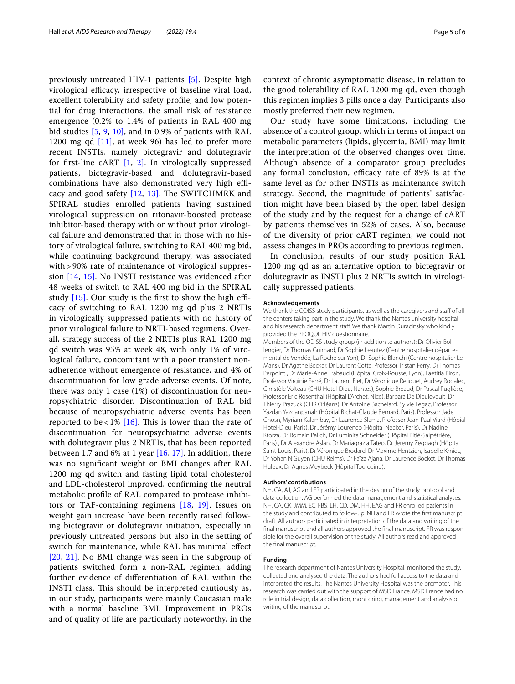previously untreated HIV-1 patients [\[5\]](#page-5-4). Despite high virological efficacy, irrespective of baseline viral load, excellent tolerability and safety profle, and low potential for drug interactions, the small risk of resistance emergence (0.2% to 1.4% of patients in RAL 400 mg bid studies [\[5](#page-5-4), [9,](#page-5-8) [10\]](#page-5-9), and in 0.9% of patients with RAL 1200 mg qd  $[11]$ , at week 96) has led to prefer more recent INSTIs, namely bictegravir and dolutegravir for frst-line cART [\[1](#page-5-0), [2\].](#page-5-1) In virologically suppressed patients, bictegravir-based and dolutegravir-based combinations have also demonstrated very high efficacy and good safety  $[12, 13]$  $[12, 13]$ . The SWITCHMRK and SPIRAL studies enrolled patients having sustained virological suppression on ritonavir-boosted protease inhibitor-based therapy with or without prior virological failure and demonstrated that in those with no history of virological failure, switching to RAL 400 mg bid, while continuing background therapy, was associated with > 90% rate of maintenance of virological suppression [\[14,](#page-5-13) [15\].](#page-5-14) No INSTI resistance was evidenced after 48 weeks of switch to RAL 400 mg bid in the SPIRAL study  $[15]$ . Our study is the first to show the high efficacy of switching to RAL 1200 mg qd plus 2 NRTIs in virologically suppressed patients with no history of prior virological failure to NRTI-based regimens. Overall, strategy success of the 2 NRTIs plus RAL 1200 mg qd switch was 95% at week 48, with only 1% of virological failure, concomitant with a poor transient nonadherence without emergence of resistance, and 4% of discontinuation for low grade adverse events. Of note, there was only 1 case (1%) of discontinuation for neuropsychiatric disorder. Discontinuation of RAL bid because of neuropsychiatric adverse events has been reported to be < 1%  $[16]$ . This is lower than the rate of discontinuation for neuropsychiatric adverse events with dolutegravir plus 2 NRTIs, that has been reported between 1.7 and 6% at 1 year  $[16, 17]$  $[16, 17]$  $[16, 17]$ . In addition, there was no signifcant weight or BMI changes after RAL 1200 mg qd switch and fasting lipid total cholesterol and LDL-cholesterol improved, confrming the neutral metabolic profle of RAL compared to protease inhibitors or TAF-containing regimens [\[18](#page-5-17), [19\]](#page-5-18). Issues on weight gain increase have been recently raised following bictegravir or dolutegravir initiation, especially in previously untreated persons but also in the setting of switch for maintenance, while RAL has minimal efect [\[20](#page-5-19), [21\].](#page-5-20) No BMI change was seen in the subgroup of patients switched form a non-RAL regimen, adding further evidence of diferentiation of RAL within the INSTI class. This should be interpreted cautiously as, in our study, participants were mainly Caucasian male with a normal baseline BMI. Improvement in PROs and of quality of life are particularly noteworthy, in the

context of chronic asymptomatic disease, in relation to the good tolerability of RAL 1200 mg qd, even though this regimen implies 3 pills once a day. Participants also mostly preferred their new regimen.

Our study have some limitations, including the absence of a control group, which in terms of impact on metabolic parameters (lipids, glycemia, BMI) may limit the interpretation of the observed changes over time. Although absence of a comparator group precludes any formal conclusion, efficacy rate of 89% is at the same level as for other INSTIs as maintenance switch strategy. Second, the magnitude of patients' satisfaction might have been biased by the open label design of the study and by the request for a change of cART by patients themselves in 52% of cases. Also, because of the diversity of prior cART regimen, we could not assess changes in PROs according to previous regimen.

In conclusion, results of our study position RAL 1200 mg qd as an alternative option to bictegravir or dolutegravir as INSTI plus 2 NRTIs switch in virologically suppressed patients.

#### **Acknowledgements**

We thank the QDISS study participants, as well as the caregivers and staff of all the centers taking part in the study. We thank the Nantes university hospital and his research department staff. We thank Martin Duracinsky who kindly provided the PROQOL HIV questionnaire.

Members of the QDISS study group (in addition to authors): Dr Olivier Bol‑ lengier, Dr Thomas Guimard, Dr Sophie Leautez (Centre hospitalier départemental de Vendée, La Roche sur Yon), Dr Sophie Blanchi (Centre hospitalier Le Mans), Dr Agathe Becker, Dr Laurent Cotte, Professor Tristan Ferry, Dr Thomas Perpoint , Dr Marie-Anne Trabaud (Hôpital Croix-Rousse, Lyon), Laetitia Biron, Professor Virginie Ferré, Dr Laurent Flet, Dr Véronique Reliquet, Audrey Rodalec, Christèle Volteau (CHU Hotel-Dieu, Nantes), Sophie Breaud, Dr Pascal Puglièse, Professor Eric Rosenthal (Hôpital L'Archet, Nice), Barbara De Dieuleveult, Dr Thierry Prazuck (CHR Orléans), Dr Antoine Bachelard, Sylvie Legac, Professor Yazdan Yazdanpanah (Hôpital Bichat-Claude Bernard, Paris), Professor Jade Ghosn, Myriam Kalambay, Dr Laurence Slama, Professor Jean-Paul Viard (Hôpial Hotel-Dieu, Paris), Dr Jérémy Lourenco (Hôpital Necker, Paris), Dr Nadine Ktorza, Dr Romain Palich, Dr Luminita Schneider (Hôpital Pitié-Salpétrière, Paris) , Dr Alexandre Aslan, Dr Mariagrazia Tateo, Dr Jeremy Zeggagh (Hôpital Saint-Louis, Paris), Dr Véronique Brodard, Dr Maxime Hentzien, Isabelle Kmiec, Dr Yohan N'Guyen (CHU Reims), Dr Faïza Ajana, Dr Laurence Bocket, Dr Thomas Huleux, Dr Agnes Meybeck (Hôpital Tourcoing).

#### **Authors' contributions**

NH, CA, AJ, AG and FR participated in the design of the study protocol and data collection. AG performed the data management and statistical analyses. NH, CA, CK, JMM, EC, FBS, LH, CD, DM, HH, EAG and FR enrolled patients in the study and contributed to follow-up. NH and FR wrote the frst manuscript draft. All authors participated in interpretation of the data and writing of the final manuscript and all authors approved the final manuscript. FR was responsible for the overall supervision of the study. All authors read and approved the fnal manuscript.

# **Funding**

The research department of Nantes University Hospital, monitored the study, collected and analysed the data. The authors had full access to the data and interpreted the results. The Nantes University Hospital was the promotor. This research was carried out with the support of MSD France. MSD France had no role in trial design, data collection, monitoring, management and analysis or writing of the manuscript.